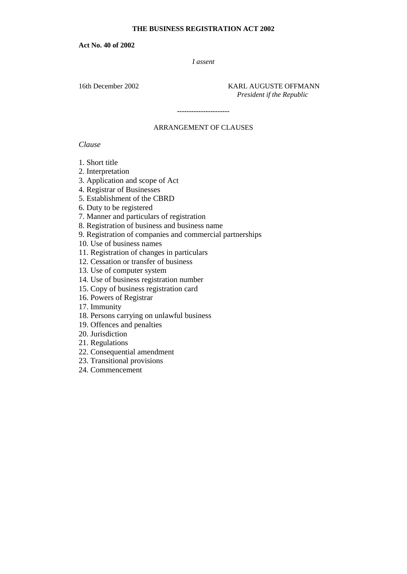### **THE BUSINESS REGISTRATION ACT 2002**

**Act No. 40 of 2002**

*I assent*

16th December 2002 KARL AUGUSTE OFFMANN  *President if the Republic*

### ARRANGEMENT OF CLAUSES

**----------------------**

*Clause*

1. Short title

2. Interpretation

3. Application and scope of Act

4. Registrar of Businesses

5. Establishment of the CBRD

6. Duty to be registered

7. Manner and particulars of registration

8. Registration of business and business name

9. Registration of companies and commercial partnerships

10. Use of business names

11. Registration of changes in particulars

12. Cessation or transfer of business

13. Use of computer system

14. Use of business registration number

15. Copy of business registration card

16. Powers of Registrar

17. Immunity

18. Persons carrying on unlawful business

19. Offences and penalties

20. Jurisdiction

21. Regulations

22. Consequential amendment

23. Transitional provisions

24. Commencement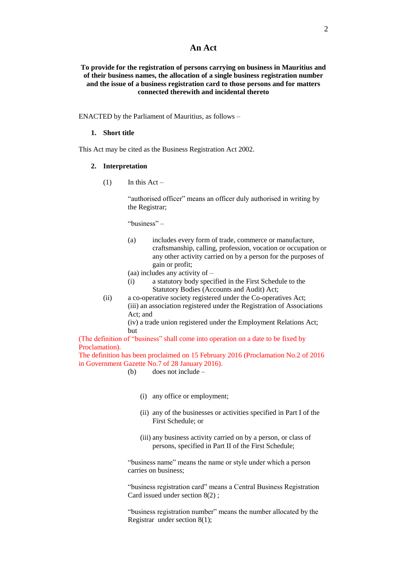### **An Act**

#### **To provide for the registration of persons carrying on business in Mauritius and of their business names, the allocation of a single business registration number and the issue of a business registration card to those persons and for matters connected therewith and incidental thereto**

ENACTED by the Parliament of Mauritius, as follows –

#### **1. Short title**

This Act may be cited as the Business Registration Act 2002.

#### **2. Interpretation**

 $(1)$  In this Act –

"authorised officer" means an officer duly authorised in writing by the Registrar;

"business" –

(a) includes every form of trade, commerce or manufacture, craftsmanship, calling, profession, vocation or occupation or any other activity carried on by a person for the purposes of gain or profit;

(aa) includes any activity of –

- (i) a statutory body specified in the First Schedule to the Statutory Bodies (Accounts and Audit) Act;
- (ii) a co-operative society registered under the Co-operatives Act; (iii) an association registered under the Registration of Associations Act; and

(iv) a trade union registered under the Employment Relations Act; but

(The definition of "business" shall come into operation on a date to be fixed by Proclamation).

The definition has been proclaimed on 15 February 2016 (Proclamation No.2 of 2016 in Government Gazette No.7 of 28 January 2016).

- (b) does not include
	- (i) any office or employment;
	- (ii) any of the businesses or activities specified in Part I of the First Schedule; or
	- (iii) any business activity carried on by a person, or class of persons, specified in Part II of the First Schedule;

"business name" means the name or style under which a person carries on business;

"business registration card" means a Central Business Registration Card issued under section 8(2) ;

"business registration number" means the number allocated by the Registrar under section 8(1);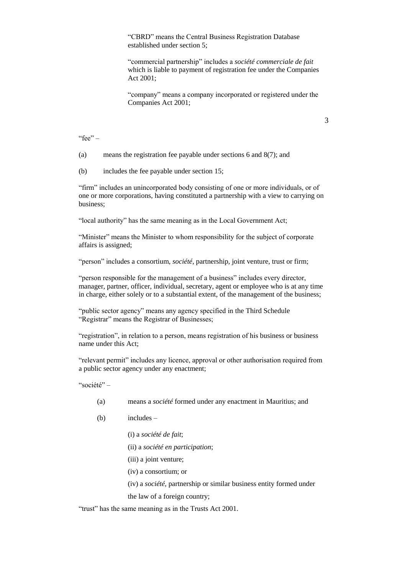"CBRD" means the Central Business Registration Database established under section 5;

"commercial partnership" includes a *société commerciale de fait*  which is liable to payment of registration fee under the Companies Act 2001;

"company" means a company incorporated or registered under the Companies Act 2001;

3

"fee" –

(a) means the registration fee payable under sections 6 and 8(7); and

(b) includes the fee payable under section 15;

"firm" includes an unincorporated body consisting of one or more individuals, or of one or more corporations, having constituted a partnership with a view to carrying on business;

"local authority" has the same meaning as in the Local Government Act;

"Minister" means the Minister to whom responsibility for the subject of corporate affairs is assigned;

"person" includes a consortium, *société,* partnership, joint venture, trust or firm;

"person responsible for the management of a business" includes every director, manager, partner, officer, individual, secretary, agent or employee who is at any time in charge, either solely or to a substantial extent, of the management of the business;

"public sector agency" means any agency specified in the Third Schedule "Registrar" means the Registrar of Businesses;

"registration", in relation to a person, means registration of his business or business name under this Act;

"relevant permit" includes any licence, approval or other authorisation required from a public sector agency under any enactment;

"société" –

- (a) means a *société* formed under any enactment in Mauritius; and
- (b) includes
	- (i) a *société de fait*;
	- (ii) a *société en participation*;
	- (iii) a joint venture;
	- (iv) a consortium; or
	- (iv) a *société,* partnership or similar business entity formed under

the law of a foreign country;

"trust" has the same meaning as in the Trusts Act 2001.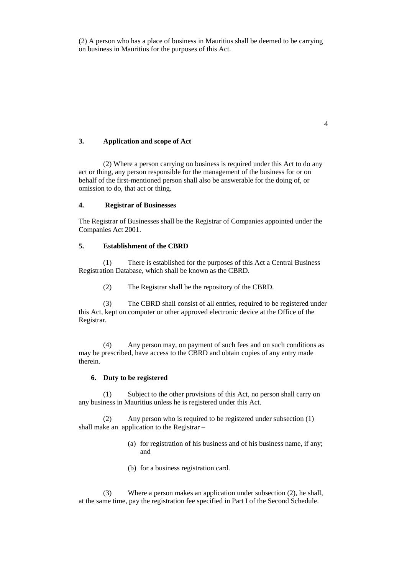(2) A person who has a place of business in Mauritius shall be deemed to be carrying on business in Mauritius for the purposes of this Act.

#### **3. Application and scope of Act**

(2) Where a person carrying on business is required under this Act to do any act or thing, any person responsible for the management of the business for or on behalf of the first-mentioned person shall also be answerable for the doing of, or omission to do, that act or thing.

### **4. Registrar of Businesses**

The Registrar of Businesses shall be the Registrar of Companies appointed under the Companies Act 2001.

#### **5. Establishment of the CBRD**

(1) There is established for the purposes of this Act a Central Business Registration Database, which shall be known as the CBRD.

(2) The Registrar shall be the repository of the CBRD.

(3) The CBRD shall consist of all entries, required to be registered under this Act, kept on computer or other approved electronic device at the Office of the Registrar.

(4) Any person may, on payment of such fees and on such conditions as may be prescribed, have access to the CBRD and obtain copies of any entry made therein.

### **6. Duty to be registered**

(1) Subject to the other provisions of this Act, no person shall carry on any business in Mauritius unless he is registered under this Act.

(2) Any person who is required to be registered under subsection (1) shall make an application to the Registrar –

- (a) for registration of his business and of his business name, if any; and
- (b) for a business registration card.

(3) Where a person makes an application under subsection (2), he shall, at the same time, pay the registration fee specified in Part I of the Second Schedule.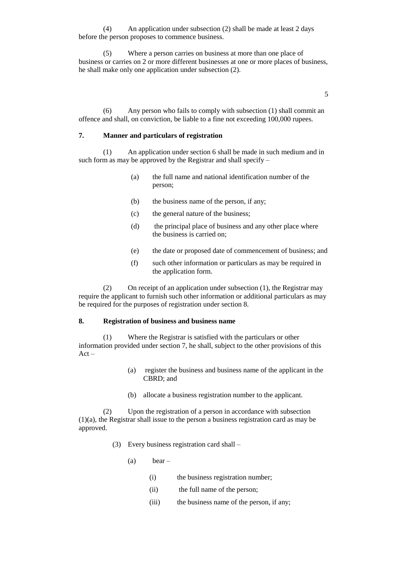(4) An application under subsection (2) shall be made at least 2 days before the person proposes to commence business.

(5) Where a person carries on business at more than one place of business or carries on 2 or more different businesses at one or more places of business, he shall make only one application under subsection (2).

5

(6) Any person who fails to comply with subsection (1) shall commit an offence and shall, on conviction, be liable to a fine not exceeding 100,000 rupees.

#### **7. Manner and particulars of registration**

(1) An application under section 6 shall be made in such medium and in such form as may be approved by the Registrar and shall specify  $-$ 

- (a) the full name and national identification number of the person;
- (b) the business name of the person, if any;
- (c) the general nature of the business;
- (d) the principal place of business and any other place where the business is carried on;
- (e) the date or proposed date of commencement of business; and
- (f) such other information or particulars as may be required in the application form.

(2) On receipt of an application under subsection (1), the Registrar may require the applicant to furnish such other information or additional particulars as may be required for the purposes of registration under section 8.

#### **8. Registration of business and business name**

(1) Where the Registrar is satisfied with the particulars or other information provided under section 7, he shall, subject to the other provisions of this Act –

- (a) register the business and business name of the applicant in the CBRD; and
- (b) allocate a business registration number to the applicant.

(2) Upon the registration of a person in accordance with subsection (1)(a), the Registrar shall issue to the person a business registration card as may be approved.

- (3) Every business registration card shall
	- $(a)$  bear
		- (i) the business registration number;
		- (ii) the full name of the person;
		- (iii) the business name of the person, if any;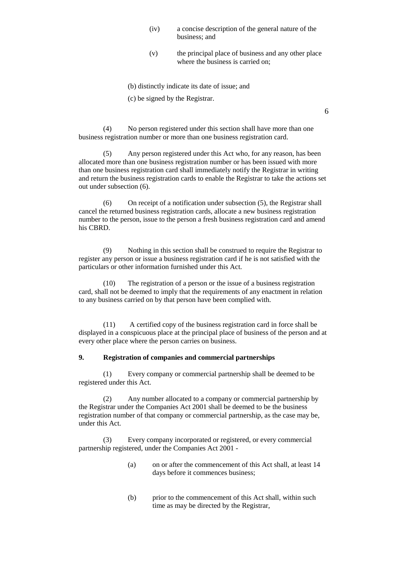- (iv) a concise description of the general nature of the business; and
- (v) the principal place of business and any other place where the business is carried on;

6

(b) distinctly indicate its date of issue; and

(c) be signed by the Registrar.

(4) No person registered under this section shall have more than one business registration number or more than one business registration card.

(5) Any person registered under this Act who, for any reason, has been allocated more than one business registration number or has been issued with more than one business registration card shall immediately notify the Registrar in writing and return the business registration cards to enable the Registrar to take the actions set out under subsection (6).

(6) On receipt of a notification under subsection (5), the Registrar shall cancel the returned business registration cards, allocate a new business registration number to the person, issue to the person a fresh business registration card and amend his CBRD.

(9) Nothing in this section shall be construed to require the Registrar to register any person or issue a business registration card if he is not satisfied with the particulars or other information furnished under this Act.

(10) The registration of a person or the issue of a business registration card, shall not be deemed to imply that the requirements of any enactment in relation to any business carried on by that person have been complied with.

(11) A certified copy of the business registration card in force shall be displayed in a conspicuous place at the principal place of business of the person and at every other place where the person carries on business.

### **9. Registration of companies and commercial partnerships**

(1) Every company or commercial partnership shall be deemed to be registered under this Act.

(2) Any number allocated to a company or commercial partnership by the Registrar under the Companies Act 2001 shall be deemed to be the business registration number of that company or commercial partnership, as the case may be, under this Act.

(3) Every company incorporated or registered, or every commercial partnership registered, under the Companies Act 2001 -

- (a) on or after the commencement of this Act shall, at least 14 days before it commences business;
- (b) prior to the commencement of this Act shall, within such time as may be directed by the Registrar,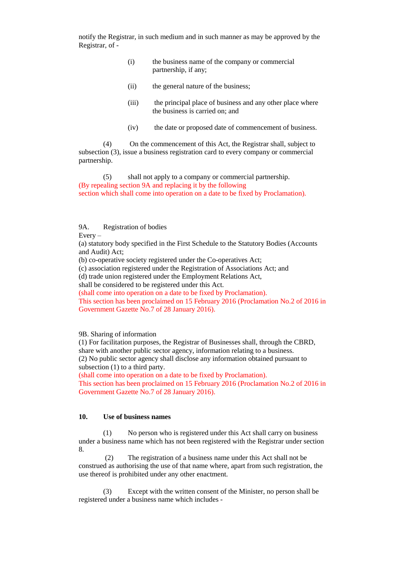notify the Registrar, in such medium and in such manner as may be approved by the Registrar, of -

- (i) the business name of the company or commercial partnership, if any;
- (ii) the general nature of the business;
- (iii) the principal place of business and any other place where the business is carried on; and
- (iv) the date or proposed date of commencement of business.

(4) On the commencement of this Act, the Registrar shall, subject to subsection (3), issue a business registration card to every company or commercial partnership.

(5) shall not apply to a company or commercial partnership. (By repealing section 9A and replacing it by the following section which shall come into operation on a date to be fixed by Proclamation).

### 9A. Registration of bodies

Every –

(a) statutory body specified in the First Schedule to the Statutory Bodies (Accounts and Audit) Act;

(b) co-operative society registered under the Co-operatives Act;

(c) association registered under the Registration of Associations Act; and

(d) trade union registered under the Employment Relations Act,

shall be considered to be registered under this Act.

(shall come into operation on a date to be fixed by Proclamation).

This section has been proclaimed on 15 February 2016 (Proclamation No.2 of 2016 in Government Gazette No.7 of 28 January 2016).

9B. Sharing of information

(1) For facilitation purposes, the Registrar of Businesses shall, through the CBRD, share with another public sector agency, information relating to a business. (2) No public sector agency shall disclose any information obtained pursuant to subsection (1) to a third party.

(shall come into operation on a date to be fixed by Proclamation).

This section has been proclaimed on 15 February 2016 (Proclamation No.2 of 2016 in Government Gazette No.7 of 28 January 2016).

### **10. Use of business names**

(1) No person who is registered under this Act shall carry on business under a business name which has not been registered with the Registrar under section 8.

(2) The registration of a business name under this Act shall not be construed as authorising the use of that name where, apart from such registration, the use thereof is prohibited under any other enactment.

(3) Except with the written consent of the Minister, no person shall be registered under a business name which includes -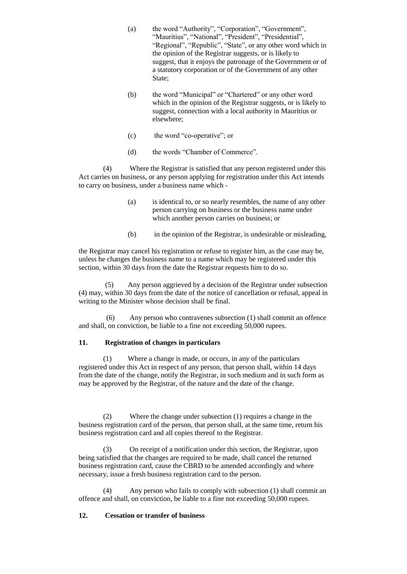- (a) the word "Authority", "Corporation", "Government", "Mauritius", "National", "President", "Presidential", "Regional", "Republic", "State", or any other word which in the opinion of the Registrar suggests, or is likely to suggest, that it enjoys the patronage of the Government or of a statutory corporation or of the Government of any other State:
- (b) the word "Municipal" or "Chartered" or any other word which in the opinion of the Registrar suggests, or is likely to suggest, connection with a local authority in Mauritius or elsewhere;
- (c) the word "co-operative"; or
- (d) the words "Chamber of Commerce".

(4) Where the Registrar is satisfied that any person registered under this Act carries on business, or any person applying for registration under this Act intends to carry on business, under a business name which -

- (a) is identical to, or so nearly resembles, the name of any other person carrying on business or the business name under which another person carries on business; or
- (b) in the opinion of the Registrar, is undesirable or misleading,

the Registrar may cancel his registration or refuse to register him, as the case may be, unless he changes the business name to a name which may be registered under this section, within 30 days from the date the Registrar requests him to do so.

(5) Any person aggrieved by a decision of the Registrar under subsection (4) may, within 30 days from the date of the notice of cancellation or refusal, appeal in writing to the Minister whose decision shall be final.

(6) Any person who contravenes subsection (1) shall commit an offence and shall, on conviction, be liable to a fine not exceeding 50,000 rupees.

### **11. Registration of changes in particulars**

(1) Where a change is made, or occurs, in any of the particulars registered under this Act in respect of any person, that person shall, within 14 days from the date of the change, notify the Registrar, in such medium and in such form as may be approved by the Registrar, of the nature and the date of the change.

(2) Where the change under subsection (1) requires a change in the business registration card of the person, that person shall, at the same time, return his business registration card and all copies thereof to the Registrar.

(3) On receipt of a notification under this section, the Registrar, upon being satisfied that the changes are required to be made, shall cancel the returned business registration card, cause the CBRD to be amended accordingly and where necessary, issue a fresh business registration card to the person.

(4) Any person who fails to comply with subsection (1) shall commit an offence and shall, on conviction, be liable to a fine not exceeding 50,000 rupees.

#### **12. Cessation or transfer of business**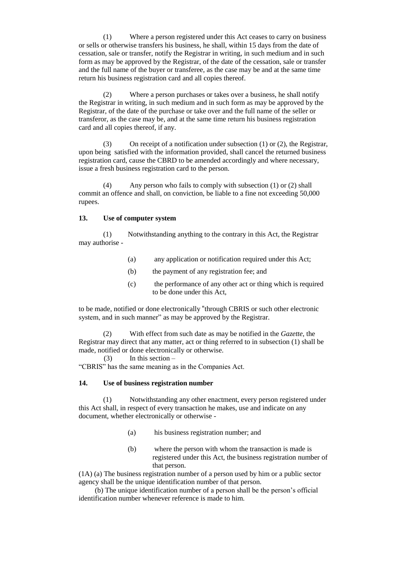(1) Where a person registered under this Act ceases to carry on business or sells or otherwise transfers his business, he shall, within 15 days from the date of cessation, sale or transfer, notify the Registrar in writing, in such medium and in such form as may be approved by the Registrar, of the date of the cessation, sale or transfer and the full name of the buyer or transferee, as the case may be and at the same time return his business registration card and all copies thereof.

(2) Where a person purchases or takes over a business, he shall notify the Registrar in writing, in such medium and in such form as may be approved by the Registrar, of the date of the purchase or take over and the full name of the seller or transferor, as the case may be, and at the same time return his business registration card and all copies thereof, if any.

(3) On receipt of a notification under subsection (1) or (2), the Registrar, upon being satisfied with the information provided, shall cancel the returned business registration card, cause the CBRD to be amended accordingly and where necessary, issue a fresh business registration card to the person.

(4) Any person who fails to comply with subsection (1) or (2) shall commit an offence and shall, on conviction, be liable to a fine not exceeding 50,000 rupees.

#### **13. Use of computer system**

(1) Notwithstanding anything to the contrary in this Act, the Registrar may authorise -

- (a) any application or notification required under this Act;
- (b) the payment of any registration fee; and
- (c) the performance of any other act or thing which is required to be done under this Act,

to be made, notified or done electronically "through CBRIS or such other electronic system, and in such manner" as may be approved by the Registrar.

(2) With effect from such date as may be notified in the *Gazette*, the Registrar may direct that any matter, act or thing referred to in subsection (1) shall be made, notified or done electronically or otherwise.

 $(3)$  In this section –

"CBRIS" has the same meaning as in the Companies Act.

### **14. Use of business registration number**

(1) Notwithstanding any other enactment, every person registered under this Act shall, in respect of every transaction he makes, use and indicate on any document, whether electronically or otherwise -

- (a) his business registration number; and
- (b) where the person with whom the transaction is made is registered under this Act, the business registration number of that person.

(1A) (a) The business registration number of a person used by him or a public sector agency shall be the unique identification number of that person.

 (b) The unique identification number of a person shall be the person's official identification number whenever reference is made to him.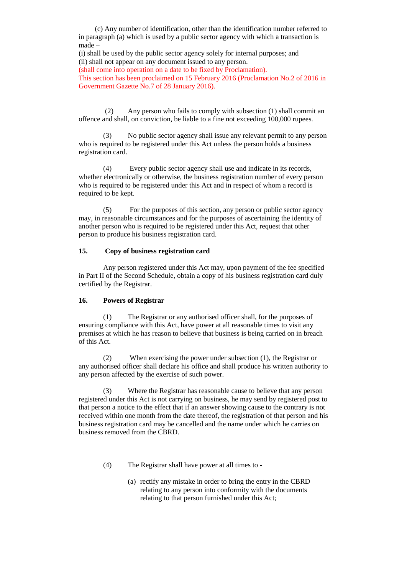(c) Any number of identification, other than the identification number referred to in paragraph (a) which is used by a public sector agency with which a transaction is made –

(i) shall be used by the public sector agency solely for internal purposes; and (ii) shall not appear on any document issued to any person.

(shall come into operation on a date to be fixed by Proclamation).

This section has been proclaimed on 15 February 2016 (Proclamation No.2 of 2016 in Government Gazette No.7 of 28 January 2016).

(2) Any person who fails to comply with subsection (1) shall commit an offence and shall, on conviction, be liable to a fine not exceeding 100,000 rupees.

(3) No public sector agency shall issue any relevant permit to any person who is required to be registered under this Act unless the person holds a business registration card.

(4) Every public sector agency shall use and indicate in its records, whether electronically or otherwise, the business registration number of every person who is required to be registered under this Act and in respect of whom a record is required to be kept.

(5) For the purposes of this section, any person or public sector agency may, in reasonable circumstances and for the purposes of ascertaining the identity of another person who is required to be registered under this Act, request that other person to produce his business registration card.

### **15. Copy of business registration card**

Any person registered under this Act may, upon payment of the fee specified in Part II of the Second Schedule, obtain a copy of his business registration card duly certified by the Registrar.

#### **16. Powers of Registrar**

(1) The Registrar or any authorised officer shall, for the purposes of ensuring compliance with this Act, have power at all reasonable times to visit any premises at which he has reason to believe that business is being carried on in breach of this Act.

(2) When exercising the power under subsection (1), the Registrar or any authorised officer shall declare his office and shall produce his written authority to any person affected by the exercise of such power.

(3) Where the Registrar has reasonable cause to believe that any person registered under this Act is not carrying on business, he may send by registered post to that person a notice to the effect that if an answer showing cause to the contrary is not received within one month from the date thereof, the registration of that person and his business registration card may be cancelled and the name under which he carries on business removed from the CBRD.

- (4) The Registrar shall have power at all times to
	- (a) rectify any mistake in order to bring the entry in the CBRD relating to any person into conformity with the documents relating to that person furnished under this Act;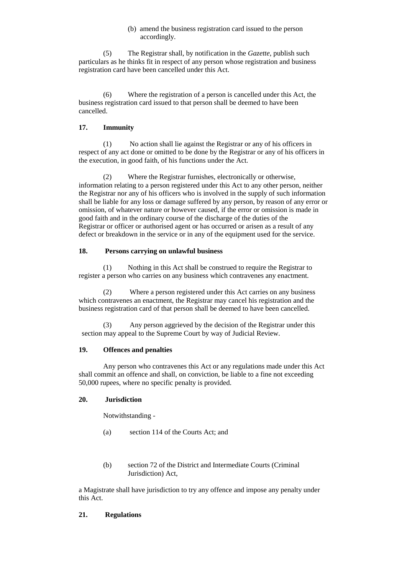### (b) amend the business registration card issued to the person accordingly.

(5) The Registrar shall, by notification in the *Gazette*, publish such particulars as he thinks fit in respect of any person whose registration and business registration card have been cancelled under this Act.

(6) Where the registration of a person is cancelled under this Act, the business registration card issued to that person shall be deemed to have been cancelled.

## **17. Immunity**

(1) No action shall lie against the Registrar or any of his officers in respect of any act done or omitted to be done by the Registrar or any of his officers in the execution, in good faith, of his functions under the Act.

(2) Where the Registrar furnishes, electronically or otherwise, information relating to a person registered under this Act to any other person, neither the Registrar nor any of his officers who is involved in the supply of such information shall be liable for any loss or damage suffered by any person, by reason of any error or omission, of whatever nature or however caused, if the error or omission is made in good faith and in the ordinary course of the discharge of the duties of the Registrar or officer or authorised agent or has occurred or arisen as a result of any defect or breakdown in the service or in any of the equipment used for the service.

# **18. Persons carrying on unlawful business**

(1) Nothing in this Act shall be construed to require the Registrar to register a person who carries on any business which contravenes any enactment.

(2) Where a person registered under this Act carries on any business which contravenes an enactment, the Registrar may cancel his registration and the business registration card of that person shall be deemed to have been cancelled.

(3) Any person aggrieved by the decision of the Registrar under this section may appeal to the Supreme Court by way of Judicial Review.

# **19. Offences and penalties**

Any person who contravenes this Act or any regulations made under this Act shall commit an offence and shall, on conviction, be liable to a fine not exceeding 50,000 rupees, where no specific penalty is provided.

# **20. Jurisdiction**

Notwithstanding -

- (a) section 114 of the Courts Act; and
- (b) section 72 of the District and Intermediate Courts (Criminal Jurisdiction) Act,

a Magistrate shall have jurisdiction to try any offence and impose any penalty under this Act.

# **21. Regulations**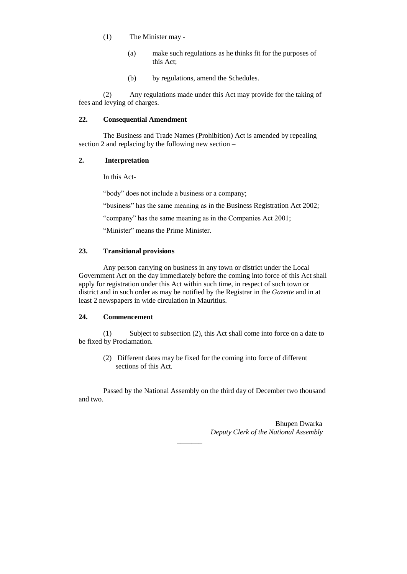- (1) The Minister may
	- (a) make such regulations as he thinks fit for the purposes of this Act;
	- (b) by regulations, amend the Schedules.

(2) Any regulations made under this Act may provide for the taking of fees and levying of charges.

### **22. Consequential Amendment**

The Business and Trade Names (Prohibition) Act is amended by repealing section 2 and replacing by the following new section –

### **2. Interpretation**

In this Act-

"body" does not include a business or a company;

"business" has the same meaning as in the Business Registration Act 2002;

"company" has the same meaning as in the Companies Act 2001;

"Minister" means the Prime Minister.

### **23. Transitional provisions**

Any person carrying on business in any town or district under the Local Government Act on the day immediately before the coming into force of this Act shall apply for registration under this Act within such time, in respect of such town or district and in such order as may be notified by the Registrar in the *Gazette* and in at least 2 newspapers in wide circulation in Mauritius.

### **24. Commencement**

(1) Subject to subsection (2), this Act shall come into force on a date to be fixed by Proclamation.

(2) Different dates may be fixed for the coming into force of different sections of this Act.

Passed by the National Assembly on the third day of December two thousand and two.

 $\overline{\phantom{a}}$ 

Bhupen Dwarka  *Deputy Clerk of the National Assembly*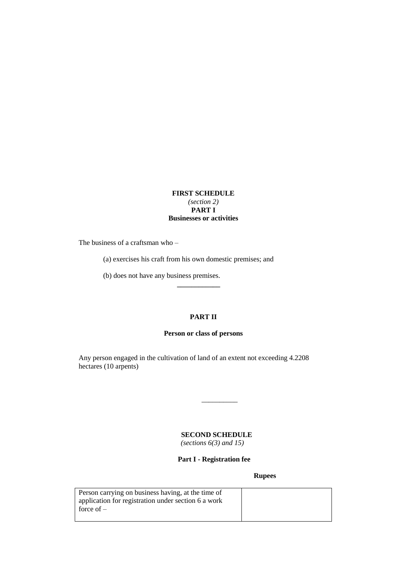## **FIRST SCHEDULE** *(section 2)* **PART I Businesses or activities**

The business of a craftsman who –

(a) exercises his craft from his own domestic premises; and

(b) does not have any business premises.

## **PART II**

**\_\_\_\_\_\_\_\_\_\_\_\_**

### **Person or class of persons**

Any person engaged in the cultivation of land of an extent not exceeding 4.2208 hectares (10 arpents)

# **SECOND SCHEDULE**

\_\_\_\_\_\_\_\_\_\_

 *(sections 6(3) and 15)*

 **Part I - Registration fee**

**Rupees**

| Person carrying on business having, at the time of  |  |
|-----------------------------------------------------|--|
| application for registration under section 6 a work |  |
| force of $-$                                        |  |